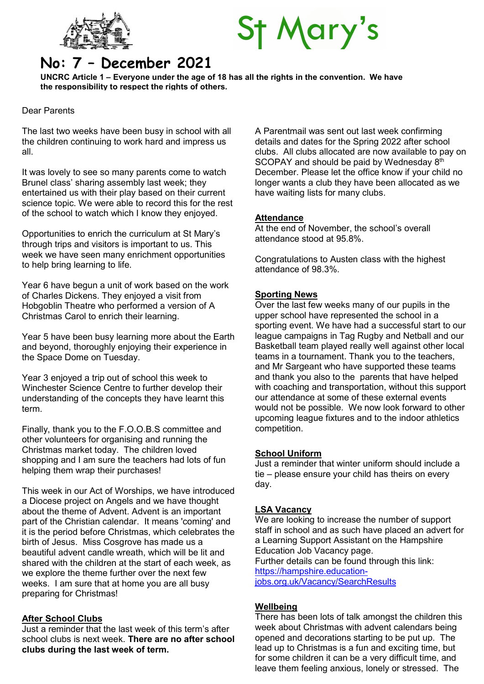



# No: 7 – December 2021

UNCRC Article 1 – Everyone under the age of 18 has all the rights in the convention. We have the responsibility to respect the rights of others.

Dear Parents

The last two weeks have been busy in school with all the children continuing to work hard and impress us all.

It was lovely to see so many parents come to watch Brunel class' sharing assembly last week; they entertained us with their play based on their current science topic. We were able to record this for the rest of the school to watch which I know they enjoyed.

Opportunities to enrich the curriculum at St Mary's through trips and visitors is important to us. This week we have seen many enrichment opportunities to help bring learning to life.

Year 6 have begun a unit of work based on the work of Charles Dickens. They enjoyed a visit from Hobgoblin Theatre who performed a version of A Christmas Carol to enrich their learning.

Year 5 have been busy learning more about the Earth and beyond, thoroughly enjoying their experience in the Space Dome on Tuesday.

Year 3 enjoyed a trip out of school this week to Winchester Science Centre to further develop their understanding of the concepts they have learnt this term.

Finally, thank you to the F.O.O.B.S committee and other volunteers for organising and running the Christmas market today. The children loved shopping and I am sure the teachers had lots of fun helping them wrap their purchases!

This week in our Act of Worships, we have introduced a Diocese project on Angels and we have thought about the theme of Advent. Advent is an important part of the Christian calendar. It means 'coming' and it is the period before Christmas, which celebrates the birth of Jesus. Miss Cosgrove has made us a beautiful advent candle wreath, which will be lit and shared with the children at the start of each week, as we explore the theme further over the next few weeks. I am sure that at home you are all busy preparing for Christmas!

## After School Clubs

Just a reminder that the last week of this term's after school clubs is next week. There are no after school clubs during the last week of term.

A Parentmail was sent out last week confirming details and dates for the Spring 2022 after school clubs. All clubs allocated are now available to pay on SCOPAY and should be paid by Wednesday 8th December. Please let the office know if your child no longer wants a club they have been allocated as we have waiting lists for many clubs.

## **Attendance**

At the end of November, the school's overall attendance stood at 95.8%.

Congratulations to Austen class with the highest attendance of 98.3%.

## Sporting News

Over the last few weeks many of our pupils in the upper school have represented the school in a sporting event. We have had a successful start to our league campaigns in Tag Rugby and Netball and our Basketball team played really well against other local teams in a tournament. Thank you to the teachers, and Mr Sargeant who have supported these teams and thank you also to the parents that have helped with coaching and transportation, without this support our attendance at some of these external events would not be possible. We now look forward to other upcoming league fixtures and to the indoor athletics competition.

## School Uniform

Just a reminder that winter uniform should include a tie – please ensure your child has theirs on every day.

## LSA Vacancy

We are looking to increase the number of support staff in school and as such have placed an advert for a Learning Support Assistant on the Hampshire Education Job Vacancy page. Further details can be found through this link:

https://hampshire.education-

jobs.org.uk/Vacancy/SearchResults

## **Wellbeing**

There has been lots of talk amongst the children this week about Christmas with advent calendars being opened and decorations starting to be put up. The lead up to Christmas is a fun and exciting time, but for some children it can be a very difficult time, and leave them feeling anxious, lonely or stressed. The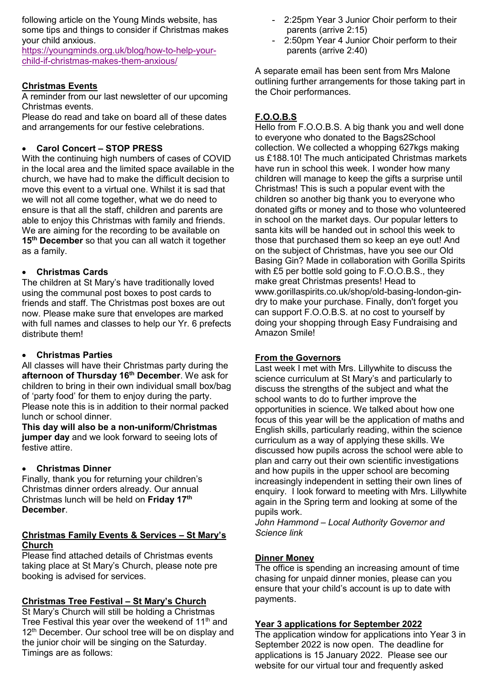following article on the Young Minds website, has some tips and things to consider if Christmas makes your child anxious.

https://youngminds.org.uk/blog/how-to-help-yourchild-if-christmas-makes-them-anxious/

# Christmas Events

A reminder from our last newsletter of our upcoming Christmas events.

Please do read and take on board all of these dates and arrangements for our festive celebrations.

# Carol Concert – STOP PRESS

With the continuing high numbers of cases of COVID in the local area and the limited space available in the church, we have had to make the difficult decision to move this event to a virtual one. Whilst it is sad that we will not all come together, what we do need to ensure is that all the staff, children and parents are able to enjoy this Christmas with family and friends. We are aiming for the recording to be available on 15<sup>th</sup> December so that you can all watch it together as a family.

# Christmas Cards

The children at St Mary's have traditionally loved using the communal post boxes to post cards to friends and staff. The Christmas post boxes are out now. Please make sure that envelopes are marked with full names and classes to help our Yr. 6 prefects distribute them!

# Christmas Parties

All classes will have their Christmas party during the afternoon of Thursday 16<sup>th</sup> December. We ask for children to bring in their own individual small box/bag of 'party food' for them to enjoy during the party. Please note this is in addition to their normal packed lunch or school dinner.

This day will also be a non-uniform/Christmas jumper day and we look forward to seeing lots of festive attire.

# Christmas Dinner

Finally, thank you for returning your children's Christmas dinner orders already. Our annual Christmas lunch will be held on Friday 17<sup>th</sup> December.

## Christmas Family Events & Services – St Mary's Church

Please find attached details of Christmas events taking place at St Mary's Church, please note pre booking is advised for services.

# Christmas Tree Festival – St Mary's Church

St Mary's Church will still be holding a Christmas Tree Festival this year over the weekend of  $11<sup>th</sup>$  and 12<sup>th</sup> December. Our school tree will be on display and the junior choir will be singing on the Saturday. Timings are as follows:

- 2:25pm Year 3 Junior Choir perform to their parents (arrive 2:15)
- 2:50pm Year 4 Junior Choir perform to their parents (arrive 2:40)

A separate email has been sent from Mrs Malone outlining further arrangements for those taking part in the Choir performances.

# F.O.O.B.S

Hello from F.O.O.B.S. A big thank you and well done to everyone who donated to the Bags2School collection. We collected a whopping 627kgs making us £188.10! The much anticipated Christmas markets have run in school this week. I wonder how many children will manage to keep the gifts a surprise until Christmas! This is such a popular event with the children so another big thank you to everyone who donated gifts or money and to those who volunteered in school on the market days. Our popular letters to santa kits will be handed out in school this week to those that purchased them so keep an eye out! And on the subject of Christmas, have you see our Old Basing Gin? Made in collaboration with Gorilla Spirits with £5 per bottle sold going to F.O.O.B.S., they make great Christmas presents! Head to www.gorillaspirits.co.uk/shop/old-basing-london-gindry to make your purchase. Finally, don't forget you can support F.O.O.B.S. at no cost to yourself by doing your shopping through Easy Fundraising and Amazon Smile!

# From the Governors

Last week I met with Mrs. Lillywhite to discuss the science curriculum at St Mary's and particularly to discuss the strengths of the subject and what the school wants to do to further improve the opportunities in science. We talked about how one focus of this year will be the application of maths and English skills, particularly reading, within the science curriculum as a way of applying these skills. We discussed how pupils across the school were able to plan and carry out their own scientific investigations and how pupils in the upper school are becoming increasingly independent in setting their own lines of enquiry. I look forward to meeting with Mrs. Lillywhite again in the Spring term and looking at some of the pupils work.

John Hammond – Local Authority Governor and Science link

# Dinner Money

The office is spending an increasing amount of time chasing for unpaid dinner monies, please can you ensure that your child's account is up to date with payments.

# Year 3 applications for September 2022

The application window for applications into Year 3 in September 2022 is now open. The deadline for applications is 15 January 2022. Please see our website for our virtual tour and frequently asked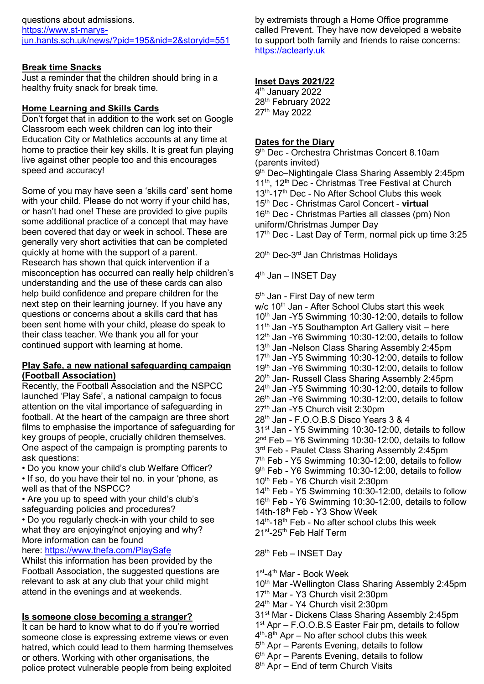## Break time Snacks

Just a reminder that the children should bring in a healthy fruity snack for break time.

## Home Learning and Skills Cards

Don't forget that in addition to the work set on Google Classroom each week children can log into their Education City or Mathletics accounts at any time at home to practice their key skills. It is great fun playing live against other people too and this encourages speed and accuracy!

Some of you may have seen a 'skills card' sent home with your child. Please do not worry if your child has, or hasn't had one! These are provided to give pupils some additional practice of a concept that may have been covered that day or week in school. These are generally very short activities that can be completed quickly at home with the support of a parent. Research has shown that quick intervention if a misconception has occurred can really help children's understanding and the use of these cards can also help build confidence and prepare children for the next step on their learning journey. If you have any questions or concerns about a skills card that has been sent home with your child, please do speak to their class teacher. We thank you all for your continued support with learning at home.

## Play Safe, a new national safeguarding campaign (Football Association)

Recently, the Football Association and the NSPCC launched 'Play Safe', a national campaign to focus attention on the vital importance of safeguarding in football. At the heart of the campaign are three short films to emphasise the importance of safeguarding for key groups of people, crucially children themselves. One aspect of the campaign is prompting parents to ask questions:

- Do you know your child's club Welfare Officer?
- If so, do you have their tel no. in your 'phone, as well as that of the NSPCC?
- Are you up to speed with your child's club's safeguarding policies and procedures?

• Do you regularly check-in with your child to see what they are enjoying/not enjoying and why? More information can be found

## here: https://www.thefa.com/PlaySafe

Whilst this information has been provided by the Football Association, the suggested questions are relevant to ask at any club that your child might attend in the evenings and at weekends.

# Is someone close becoming a stranger?

It can be hard to know what to do if you're worried someone close is expressing extreme views or even hatred, which could lead to them harming themselves or others. Working with other organisations, the police protect vulnerable people from being exploited

by extremists through a Home Office programme called Prevent. They have now developed a website to support both family and friends to raise concerns: https://actearly.uk

# Inset Days 2021/22

4 th January 2022 28<sup>th</sup> February 2022 27th May 2022

# Dates for the Diary

9 th Dec - Orchestra Christmas Concert 8.10am (parents invited) 9 th Dec–Nightingale Class Sharing Assembly 2:45pm 11<sup>th</sup>, 12<sup>th</sup> Dec - Christmas Tree Festival at Church 13<sup>th</sup>-17<sup>th</sup> Dec - No After School Clubs this week 15<sup>th</sup> Dec - Christmas Carol Concert - virtual 16<sup>th</sup> Dec - Christmas Parties all classes (pm) Non uniform/Christmas Jumper Day  $17<sup>th</sup>$  Dec - Last Day of Term, normal pick up time 3:25

20th Dec-3rd Jan Christmas Holidays

4<sup>th</sup> Jan – INSET Day

5<sup>th</sup> Jan - First Day of new term w/c 10<sup>th</sup> Jan - After School Clubs start this week  $10<sup>th</sup>$  Jan -Y5 Swimming 10:30-12:00, details to follow  $11<sup>th</sup>$  Jan -Y5 Southampton Art Gallery visit – here 12<sup>th</sup> Jan -Y6 Swimming 10:30-12:00, details to follow 13<sup>th</sup> Jan -Nelson Class Sharing Assembly 2:45pm  $17<sup>th</sup>$  Jan -Y5 Swimming 10:30-12:00, details to follow 19th Jan -Y6 Swimming 10:30-12:00, details to follow 20<sup>th</sup> Jan- Russell Class Sharing Assembly 2:45pm  $24<sup>th</sup>$  Jan -Y5 Swimming 10:30-12:00, details to follow  $26<sup>th</sup>$  Jan -Y6 Swimming 10:30-12:00, details to follow 27<sup>th</sup> Jan -Y5 Church visit 2:30pm 28<sup>th</sup> Jan - F.O.O.B.S Disco Years 3 & 4 31<sup>st</sup> Jan - Y5 Swimming 10:30-12:00, details to follow  $2<sup>nd</sup>$  Feb – Y6 Swimming 10:30-12:00, details to follow 3<sup>rd</sup> Feb - Paulet Class Sharing Assembly 2:45pm 7 th Feb - Y5 Swimming 10:30-12:00, details to follow 9 th Feb - Y6 Swimming 10:30-12:00, details to follow 10<sup>th</sup> Feb - Y6 Church visit 2:30pm 14<sup>th</sup> Feb - Y5 Swimming 10:30-12:00, details to follow 16<sup>th</sup> Feb - Y6 Swimming 10:30-12:00, details to follow 14th-18<sup>th</sup> Feb - Y3 Show Week  $14<sup>th</sup>$ -18<sup>th</sup> Feb - No after school clubs this week 21<sup>st</sup>-25<sup>th</sup> Feb Half Term

28th Feb – INSET Day

1 st-4th Mar - Book Week

10<sup>th</sup> Mar -Wellington Class Sharing Assembly 2:45pm

- 17<sup>th</sup> Mar Y3 Church visit 2:30pm
- 24<sup>th</sup> Mar Y4 Church visit 2:30pm

31st Mar - Dickens Class Sharing Assembly 2:45pm

- 1 st Apr F.O.O.B.S Easter Fair pm, details to follow
- 4<sup>th</sup>-8<sup>th</sup> Apr No after school clubs this week
- 5<sup>th</sup> Apr Parents Evening, details to follow
- 6 th Apr Parents Evening, details to follow
- 8<sup>th</sup> Apr End of term Church Visits